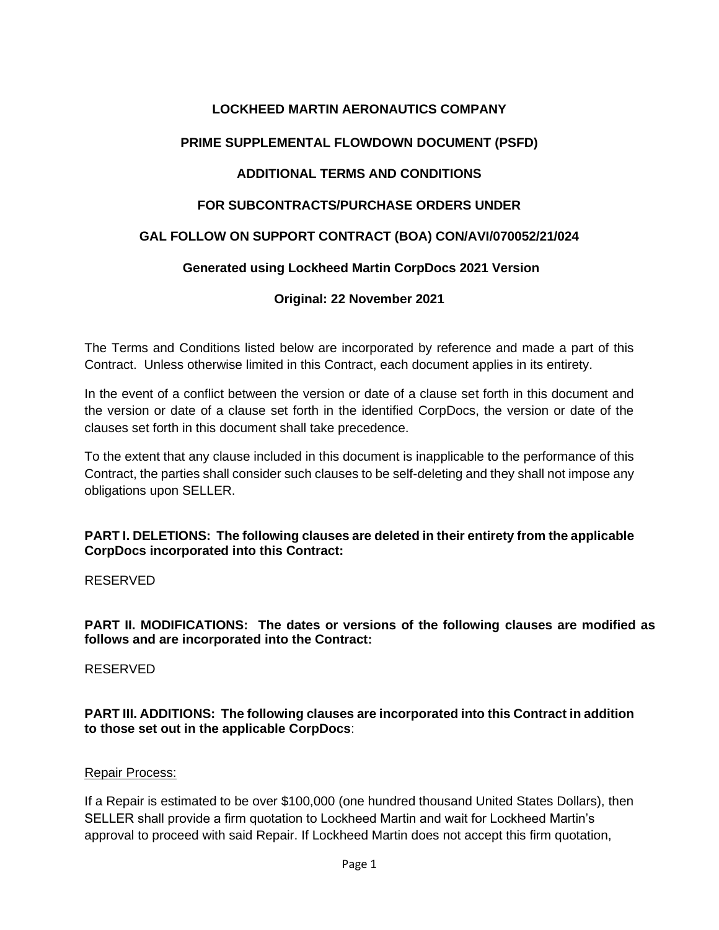# **LOCKHEED MARTIN AERONAUTICS COMPANY**

# **PRIME SUPPLEMENTAL FLOWDOWN DOCUMENT (PSFD)**

# **ADDITIONAL TERMS AND CONDITIONS**

### **FOR SUBCONTRACTS/PURCHASE ORDERS UNDER**

### **GAL FOLLOW ON SUPPORT CONTRACT (BOA) CON/AVI/070052/21/024**

### **Generated using Lockheed Martin CorpDocs 2021 Version**

#### **Original: 22 November 2021**

The Terms and Conditions listed below are incorporated by reference and made a part of this Contract. Unless otherwise limited in this Contract, each document applies in its entirety.

In the event of a conflict between the version or date of a clause set forth in this document and the version or date of a clause set forth in the identified CorpDocs, the version or date of the clauses set forth in this document shall take precedence.

To the extent that any clause included in this document is inapplicable to the performance of this Contract, the parties shall consider such clauses to be self-deleting and they shall not impose any obligations upon SELLER.

**PART I. DELETIONS: The following clauses are deleted in their entirety from the applicable CorpDocs incorporated into this Contract:** 

RESERVED

**PART II. MODIFICATIONS: The dates or versions of the following clauses are modified as follows and are incorporated into the Contract:**

RESERVED

**PART III. ADDITIONS: The following clauses are incorporated into this Contract in addition to those set out in the applicable CorpDocs**:

#### Repair Process:

If a Repair is estimated to be over \$100,000 (one hundred thousand United States Dollars), then SELLER shall provide a firm quotation to Lockheed Martin and wait for Lockheed Martin's approval to proceed with said Repair. If Lockheed Martin does not accept this firm quotation,